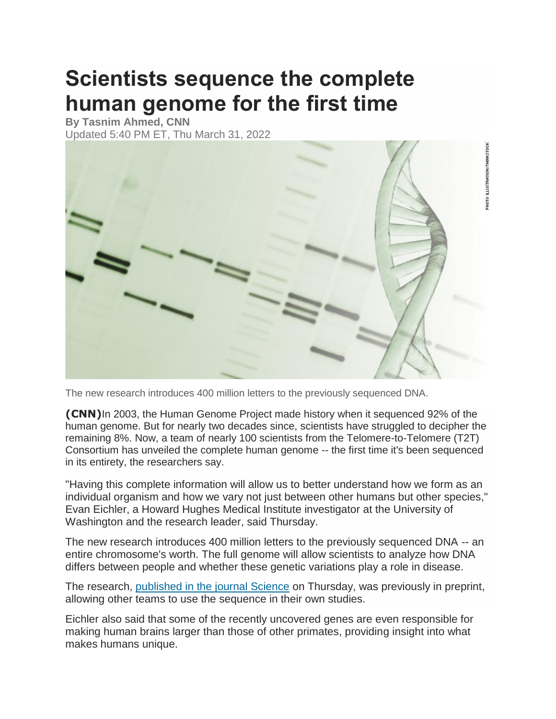## **Scientists sequence the complete human genome for the first time**

**By Tasnim Ahmed, CNN** Updated 5:40 PM ET, Thu March 31, 2022



The new research introduces 400 million letters to the previously sequenced DNA.

**(CNN)**In 2003, the Human Genome Project made history when it sequenced 92% of the human genome. But for nearly two decades since, scientists have struggled to decipher the remaining 8%. Now, a team of nearly 100 scientists from the Telomere-to-Telomere (T2T) Consortium has unveiled the complete human genome -- the first time it's been sequenced in its entirety, the researchers say.

"Having this complete information will allow us to better understand how we form as an individual organism and how we vary not just between other humans but other species," Evan Eichler, a Howard Hughes Medical Institute investigator at the University of Washington and the research leader, said Thursday.

The new research introduces 400 million letters to the previously sequenced DNA -- an entire chromosome's worth. The full genome will allow scientists to analyze how DNA differs between people and whether these genetic variations play a role in disease.

The research, [published in the journal Science](http://www.science.org/doi/10.1126/science.abj6987) on Thursday, was previously in preprint, allowing other teams to use the sequence in their own studies.

Eichler also said that some of the recently uncovered genes are even responsible for making human brains larger than those of other primates, providing insight into what makes humans unique.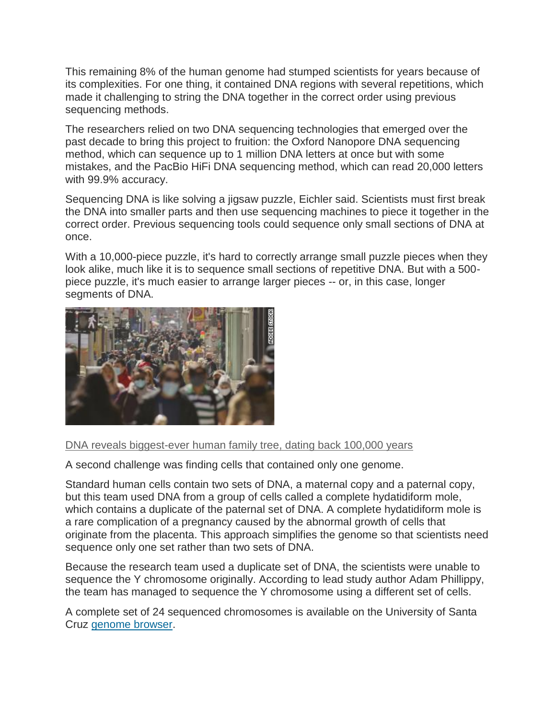This remaining 8% of the human genome had stumped scientists for years because of its complexities. For one thing, it contained DNA regions with several repetitions, which made it challenging to string the DNA together in the correct order using previous sequencing methods.

The researchers relied on two DNA sequencing technologies that emerged over the past decade to bring this project to fruition: the Oxford Nanopore DNA sequencing method, which can sequence up to 1 million DNA letters at once but with some mistakes, and the PacBio HiFi DNA sequencing method, which can read 20,000 letters with 99.9% accuracy.

Sequencing DNA is like solving a jigsaw puzzle, Eichler said. Scientists must first break the DNA into smaller parts and then use sequencing machines to piece it together in the correct order. Previous sequencing tools could sequence only small sections of DNA at once.

With a 10,000-piece puzzle, it's hard to correctly arrange small puzzle pieces when they look alike, much like it is to sequence small sections of repetitive DNA. But with a 500 piece puzzle, it's much easier to arrange larger pieces -- or, in this case, longer segments of DNA.



## [DNA reveals biggest-ever human family tree, dating back 100,000 years](https://www.cnn.com/2022/02/24/world/unified-human-genome-scli-intl-scn-gbr/index.html)

A second challenge was finding cells that contained only one genome.

Standard human cells contain two sets of DNA, a maternal copy and a paternal copy, but this team used DNA from a group of cells called a complete hydatidiform mole, which contains a duplicate of the paternal set of DNA. A complete hydatidiform mole is a rare complication of a pregnancy caused by the abnormal growth of cells that originate from the placenta. This approach simplifies the genome so that scientists need sequence only one set rather than two sets of DNA.

Because the research team used a duplicate set of DNA, the scientists were unable to sequence the Y chromosome originally. According to lead study author Adam Phillippy, the team has managed to sequence the Y chromosome using a different set of cells.

A complete set of 24 sequenced chromosomes is available on the University of Santa Cruz [genome browser.](https://genome.ucsc.edu/cgi-bin/hgGateway)